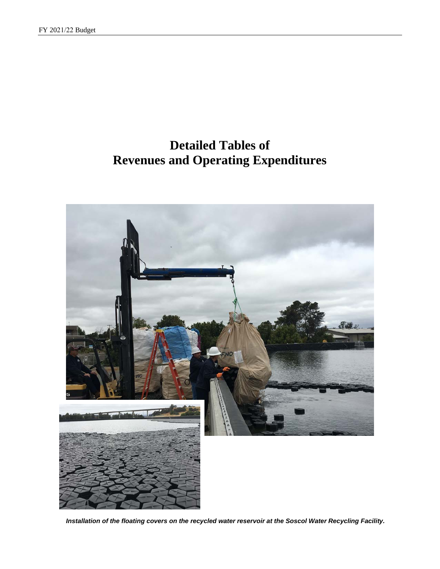# **Detailed Tables of Revenues and Operating Expenditures**



*Installation of the floating covers on the recycled water reservoir at the Soscol Water Recycling Facility.*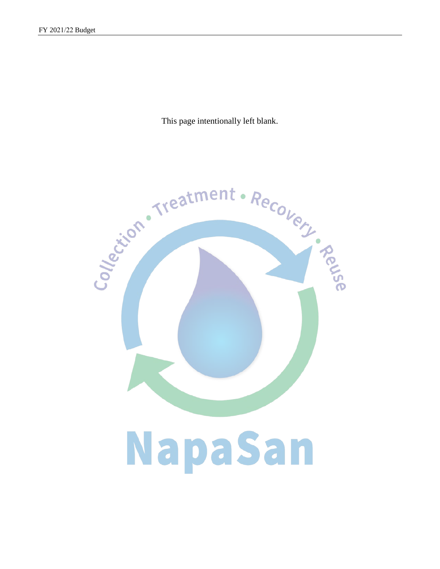This page intentionally left blank.

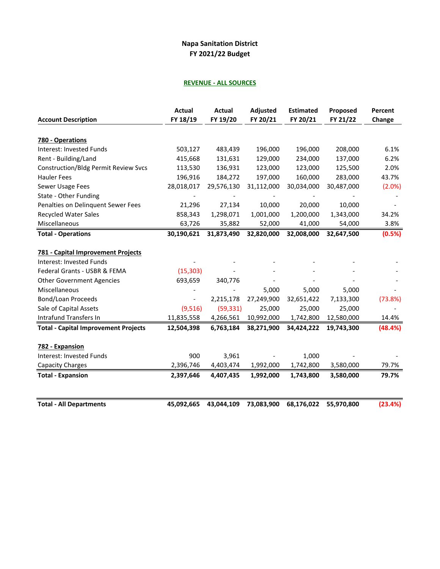#### **REVENUE - ALL SOURCES**

|                                             | <b>Actual</b>            | <b>Actual</b> | Adjusted   | <b>Estimated</b> | Proposed   | Percent |
|---------------------------------------------|--------------------------|---------------|------------|------------------|------------|---------|
| <b>Account Description</b>                  | FY 18/19                 | FY 19/20      | FY 20/21   | FY 20/21         | FY 21/22   | Change  |
|                                             |                          |               |            |                  |            |         |
| 780 - Operations                            |                          |               |            |                  |            |         |
| Interest: Invested Funds                    | 503,127                  | 483,439       | 196,000    | 196,000          | 208,000    | 6.1%    |
| Rent - Building/Land                        | 415,668                  | 131,631       | 129,000    | 234,000          | 137,000    | 6.2%    |
| <b>Construction/Bldg Permit Review Svcs</b> | 113,530                  | 136,931       | 123,000    | 123,000          | 125,500    | 2.0%    |
| <b>Hauler Fees</b>                          | 196,916                  | 184,272       | 197,000    | 160,000          | 283,000    | 43.7%   |
| Sewer Usage Fees                            | 28,018,017               | 29,576,130    | 31,112,000 | 30,034,000       | 30,487,000 | (2.0%)  |
| State - Other Funding                       |                          |               |            |                  |            |         |
| Penalties on Delinquent Sewer Fees          | 21,296                   | 27,134        | 10,000     | 20,000           | 10,000     |         |
| <b>Recycled Water Sales</b>                 | 858,343                  | 1,298,071     | 1,001,000  | 1,200,000        | 1,343,000  | 34.2%   |
| Miscellaneous                               | 63,726                   | 35,882        | 52,000     | 41,000           | 54,000     | 3.8%    |
| <b>Total - Operations</b>                   | 30,190,621               | 31,873,490    | 32,820,000 | 32,008,000       | 32,647,500 | (0.5%)  |
|                                             |                          |               |            |                  |            |         |
| 781 - Capital Improvement Projects          |                          |               |            |                  |            |         |
| Interest: Invested Funds                    |                          |               |            |                  |            |         |
| Federal Grants - USBR & FEMA                | (15, 303)                |               |            |                  |            |         |
| <b>Other Government Agencies</b>            | 693,659                  | 340,776       |            |                  |            |         |
| Miscellaneous                               |                          |               | 5,000      | 5,000            | 5,000      |         |
| Bond/Loan Proceeds                          | $\overline{\phantom{a}}$ | 2,215,178     | 27,249,900 | 32,651,422       | 7,133,300  | (73.8%) |
| Sale of Capital Assets                      | (9,516)                  | (59, 331)     | 25,000     | 25,000           | 25,000     |         |
| <b>Intrafund Transfers In</b>               | 11,835,558               | 4,266,561     | 10,992,000 | 1,742,800        | 12,580,000 | 14.4%   |
| <b>Total - Capital Improvement Projects</b> | 12,504,398               | 6,763,184     | 38,271,900 | 34,424,222       | 19,743,300 | (48.4%) |
|                                             |                          |               |            |                  |            |         |
| 782 - Expansion                             |                          |               |            |                  |            |         |
| Interest: Invested Funds                    | 900                      | 3,961         |            | 1,000            |            |         |
| <b>Capacity Charges</b>                     | 2,396,746                | 4,403,474     | 1,992,000  | 1,742,800        | 3,580,000  | 79.7%   |
| <b>Total - Expansion</b>                    | 2,397,646                | 4,407,435     | 1,992,000  | 1,743,800        | 3,580,000  | 79.7%   |
|                                             |                          |               |            |                  |            |         |
|                                             |                          |               |            |                  |            |         |
| <b>Total - All Departments</b>              | 45,092,665               | 43,044,109    | 73,083,900 | 68,176,022       | 55,970,800 | (23.4%) |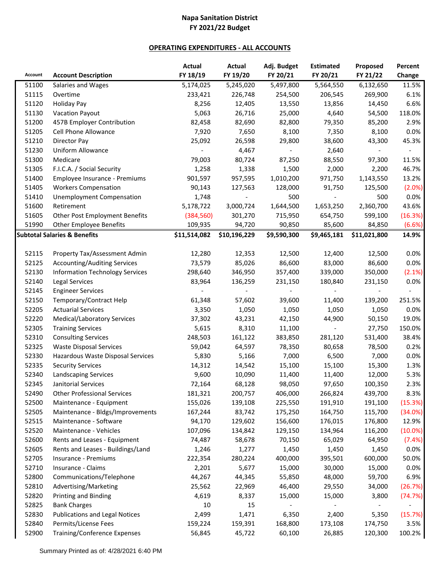### **OPERATING EXPENDITURES - ALL ACCOUNTS**

|                |                                         | Actual         | Actual                   | Adj. Budget | <b>Estimated</b>         | Proposed     | Percent    |
|----------------|-----------------------------------------|----------------|--------------------------|-------------|--------------------------|--------------|------------|
| <b>Account</b> | <b>Account Description</b>              | FY 18/19       | FY 19/20                 | FY 20/21    | FY 20/21                 | FY 21/22     | Change     |
| 51100          | Salaries and Wages                      | 5,174,025      | 5,245,020                | 5,497,800   | 5,564,550                | 6,132,650    | 11.5%      |
| 51115          | Overtime                                | 233,421        | 226,748                  | 254,500     | 206,545                  | 269,900      | 6.1%       |
| 51120          | <b>Holiday Pay</b>                      | 8,256          | 12,405                   | 13,550      | 13,856                   | 14,450       | 6.6%       |
| 51130          | Vacation Payout                         | 5,063          | 26,716                   | 25,000      | 4,640                    | 54,500       | 118.0%     |
| 51200          | 457B Employer Contribution              | 82,458         | 82,690                   | 82,800      | 79,350                   | 85,200       | 2.9%       |
| 51205          | Cell Phone Allowance                    | 7,920          | 7,650                    | 8,100       | 7,350                    | 8,100        | 0.0%       |
| 51210          | Director Pay                            | 25,092         | 26,598                   | 29,800      | 38,600                   | 43,300       | 45.3%      |
| 51230          | Uniform Allowance                       | $\blacksquare$ | 4,467                    | $\sim$      | 2,640                    | $\sim$       | $\sim$     |
| 51300          | Medicare                                | 79,003         | 80,724                   | 87,250      | 88,550                   | 97,300       | 11.5%      |
| 51305          | F.I.C.A. / Social Security              | 1,258          | 1,338                    | 1,500       | 2,000                    | 2,200        | 46.7%      |
| 51400          | Employee Insurance - Premiums           | 901,597        | 957,595                  | 1,010,200   | 971,750                  | 1,143,550    | 13.2%      |
| 51405          | <b>Workers Compensation</b>             | 90,143         | 127,563                  | 128,000     | 91,750                   | 125,500      | (2.0%)     |
| 51410          | <b>Unemployment Compensation</b>        | 1,748          | $\overline{\phantom{a}}$ | 500         | $\overline{\phantom{a}}$ | 500          | 0.0%       |
| 51600          | Retirement                              | 5,178,722      | 3,000,724                | 1,644,500   | 1,653,250                | 2,360,700    | 43.6%      |
| 51605          | <b>Other Post Employment Benefits</b>   | (384, 560)     | 301,270                  | 715,950     | 654,750                  | 599,100      | (16.3%)    |
| 51990          | <b>Other Employee Benefits</b>          | 109,935        | 94,720                   | 90,850      | 85,600                   | 84,850       | (6.6%)     |
|                | <b>Subtotal Salaries &amp; Benefits</b> | \$11,514,082   | \$10,196,229             | \$9,590,300 | \$9,465,181              | \$11,021,800 | 14.9%      |
|                |                                         |                |                          |             |                          |              |            |
| 52115          | Property Tax/Assessment Admin           | 12,280         | 12,353                   | 12,500      | 12,400                   | 12,500       | 0.0%       |
| 52125          | <b>Accounting/Auditing Services</b>     | 73,579         | 85,026                   | 86,600      | 83,000                   | 86,600       | 0.0%       |
| 52130          | <b>Information Technology Services</b>  | 298,640        | 346,950                  | 357,400     | 339,000                  | 350,000      | (2.1%)     |
| 52140          | Legal Services                          | 83,964         | 136,259                  | 231,150     | 180,840                  | 231,150      | 0.0%       |
| 52145          | <b>Engineer Services</b>                |                | $\overline{\phantom{a}}$ |             | $\overline{\phantom{a}}$ |              |            |
| 52150          | Temporary/Contract Help                 | 61,348         | 57,602                   | 39,600      | 11,400                   | 139,200      | 251.5%     |
| 52205          | <b>Actuarial Services</b>               | 3,350          | 1,050                    | 1,050       | 1,050                    | 1,050        | 0.0%       |
| 52220          | Medical/Laboratory Services             | 37,302         | 43,231                   | 42,150      | 44,900                   | 50,150       | 19.0%      |
| 52305          | <b>Training Services</b>                | 5,615          | 8,310                    | 11,100      | $\sim$                   | 27,750       | 150.0%     |
| 52310          | <b>Consulting Services</b>              | 248,503        | 161,122                  | 383,850     | 281,120                  | 531,400      | 38.4%      |
| 52325          | <b>Waste Disposal Services</b>          | 59,042         | 64,597                   | 78,350      | 80,658                   | 78,500       | 0.2%       |
| 52330          | Hazardous Waste Disposal Services       | 5,830          | 5,166                    | 7,000       | 6,500                    | 7,000        | 0.0%       |
| 52335          | <b>Security Services</b>                | 14,312         | 14,542                   | 15,100      | 15,100                   | 15,300       | 1.3%       |
| 52340          | <b>Landscaping Services</b>             | 9,600          | 10,090                   | 11,400      | 11,400                   | 12,000       | 5.3%       |
| 52345          | Janitorial Services                     | 72,164         | 68,128                   | 98,050      | 97,650                   | 100,350      | 2.3%       |
| 52490          | <b>Other Professional Services</b>      | 181,321        | 200,757                  | 406,000     | 266,824                  | 439,700      | 8.3%       |
| 52500          | Maintenance - Equipment                 | 155,026        | 139,108                  | 225,550     | 191,910                  | 191,100      | (15.3%)    |
| 52505          | Maintenance - Bldgs/Improvements        | 167,244        | 83,742                   | 175,250     | 164,750                  | 115,700      | (34.0%)    |
| 52515          | Maintenance - Software                  | 94,170         | 129,602                  | 156,600     | 176,015                  | 176,800      | 12.9%      |
| 52520          | Maintenance - Vehicles                  | 107,096        | 134,842                  | 129,150     | 134,964                  | 116,200      | $(10.0\%)$ |
| 52600          | Rents and Leases - Equipment            | 74,487         | 58,678                   | 70,150      | 65,029                   | 64,950       | (7.4%)     |
| 52605          | Rents and Leases - Buildings/Land       | 1,246          | 1,277                    | 1,450       | 1,450                    | 1,450        | 0.0%       |
| 52705          | Insurance - Premiums                    | 222,354        | 280,224                  | 400,000     | 395,501                  | 600,000      | 50.0%      |
| 52710          | Insurance - Claims                      | 2,201          | 5,677                    | 15,000      | 30,000                   | 15,000       | 0.0%       |
| 52800          | Communications/Telephone                | 44,267         | 44,345                   | 55,850      | 48,000                   | 59,700       | 6.9%       |
| 52810          | Advertising/Marketing                   | 25,562         | 22,969                   | 46,400      | 29,550                   | 34,000       | (26.7%)    |
| 52820          | <b>Printing and Binding</b>             | 4,619          | 8,337                    | 15,000      | 15,000                   | 3,800        | (74.7%)    |
| 52825          | <b>Bank Charges</b>                     | 10             | 15                       |             |                          |              |            |
| 52830          | <b>Publications and Legal Notices</b>   | 2,499          | 1,471                    | 6,350       | 2,400                    | 5,350        | (15.7%)    |
| 52840          | Permits/License Fees                    | 159,224        | 159,391                  | 168,800     | 173,108                  | 174,750      | 3.5%       |
| 52900          | <b>Training/Conference Expenses</b>     | 56,845         | 45,722                   | 60,100      | 26,885                   | 120,300      | 100.2%     |
|                |                                         |                |                          |             |                          |              |            |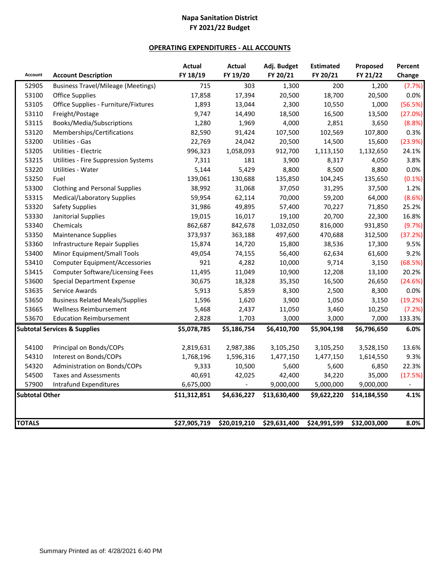## **OPERATING EXPENDITURES - ALL ACCOUNTS**

| Account               | <b>Account Description</b>                | <b>Actual</b><br>FY 18/19 | <b>Actual</b><br>FY 19/20 | Adj. Budget<br>FY 20/21 | <b>Estimated</b><br>FY 20/21 | Proposed<br>FY 21/22 | Percent<br>Change |
|-----------------------|-------------------------------------------|---------------------------|---------------------------|-------------------------|------------------------------|----------------------|-------------------|
| 52905                 | <b>Business Travel/Mileage (Meetings)</b> | 715                       | 303                       | 1,300                   | 200                          | 1,200                | (7.7%)            |
| 53100                 | <b>Office Supplies</b>                    | 17,858                    | 17,394                    | 20,500                  | 18,700                       | 20,500               | 0.0%              |
| 53105                 | Office Supplies - Furniture/Fixtures      | 1,893                     | 13,044                    | 2,300                   | 10,550                       | 1,000                | (56.5%)           |
| 53110                 | Freight/Postage                           | 9,747                     | 14,490                    | 18,500                  | 16,500                       | 13,500               | (27.0%)           |
| 53115                 | Books/Media/Subscriptions                 | 1,280                     | 1,969                     | 4,000                   | 2,851                        | 3,650                | (8.8%)            |
| 53120                 | Memberships/Certifications                | 82,590                    | 91,424                    | 107,500                 | 102,569                      | 107,800              | 0.3%              |
| 53200                 | <b>Utilities - Gas</b>                    | 22,769                    | 24,042                    | 20,500                  | 14,500                       | 15,600               | (23.9%)           |
| 53205                 | Utilities - Electric                      | 996,323                   | 1,058,093                 | 912,700                 | 1,113,150                    | 1,132,650            | 24.1%             |
| 53215                 | Utilities - Fire Suppression Systems      | 7,311                     | 181                       | 3,900                   | 8,317                        | 4,050                | 3.8%              |
| 53220                 | Utilities - Water                         | 5,144                     | 5,429                     | 8,800                   | 8,500                        | 8,800                | 0.0%              |
| 53250                 | Fuel                                      | 139,061                   | 130,688                   | 135,850                 | 104,245                      | 135,650              | $(0.1\%)$         |
| 53300                 | <b>Clothing and Personal Supplies</b>     | 38,992                    | 31,068                    | 37,050                  | 31,295                       | 37,500               | 1.2%              |
| 53315                 | Medical/Laboratory Supplies               | 59,954                    | 62,114                    | 70,000                  | 59,200                       | 64,000               | (8.6%)            |
| 53320                 | <b>Safety Supplies</b>                    | 31,986                    | 49,895                    | 57,400                  | 70,227                       | 71,850               | 25.2%             |
| 53330                 | Janitorial Supplies                       | 19,015                    | 16,017                    | 19,100                  | 20,700                       | 22,300               | 16.8%             |
| 53340                 | Chemicals                                 | 862,687                   | 842,678                   | 1,032,050               | 816,000                      | 931,850              | (9.7%)            |
| 53350                 | <b>Maintenance Supplies</b>               | 373,937                   | 363,188                   | 497,600                 | 470,688                      | 312,500              | (37.2%)           |
| 53360                 | Infrastructure Repair Supplies            | 15,874                    | 14,720                    | 15,800                  | 38,536                       | 17,300               | 9.5%              |
| 53400                 | Minor Equipment/Small Tools               | 49,054                    | 74,155                    | 56,400                  | 62,634                       | 61,600               | 9.2%              |
| 53410                 | <b>Computer Equipment/Accessories</b>     | 921                       | 4,282                     | 10,000                  | 9,714                        | 3,150                | (68.5%)           |
| 53415                 | <b>Computer Software/Licensing Fees</b>   | 11,495                    | 11,049                    | 10,900                  | 12,208                       | 13,100               | 20.2%             |
| 53600                 | <b>Special Department Expense</b>         | 30,675                    | 18,328                    | 35,350                  | 16,500                       | 26,650               | (24.6%)           |
| 53635                 | Service Awards                            | 5,913                     | 5,859                     | 8,300                   | 2,500                        | 8,300                | 0.0%              |
| 53650                 | <b>Business Related Meals/Supplies</b>    | 1,596                     | 1,620                     | 3,900                   | 1,050                        | 3,150                | (19.2%)           |
| 53665                 | Wellness Reimbursement                    | 5,468                     | 2,437                     | 11,050                  | 3,460                        | 10,250               | (7.2%)            |
| 53670                 | <b>Education Reimbursement</b>            | 2,828                     | 1,703                     | 3,000                   | 3,000                        | 7,000                | 133.3%            |
|                       | <b>Subtotal Services &amp; Supplies</b>   | \$5,078,785               | \$5,186,754               | \$6,410,700             | 55,904,198                   | \$6,796,650          | $6.0\%$           |
| 54100                 | Principal on Bonds/COPs                   | 2,819,631                 | 2,987,386                 | 3,105,250               | 3,105,250                    | 3,528,150            | 13.6%             |
| 54310                 | Interest on Bonds/COPs                    | 1,768,196                 | 1,596,316                 | 1,477,150               | 1,477,150                    | 1,614,550            | 9.3%              |
| 54320                 | Administration on Bonds/COPs              | 9,333                     | 10,500                    | 5,600                   | 5,600                        | 6,850                | 22.3%             |
| 54500                 | <b>Taxes and Assessments</b>              | 40,691                    | 42,025                    | 42,400                  | 34,220                       | 35,000               | (17.5%)           |
| 57900                 | <b>Intrafund Expenditures</b>             | 6,675,000                 |                           | 9,000,000               | 5,000,000                    | 9,000,000            |                   |
| <b>Subtotal Other</b> |                                           | \$11,312,851              | \$4,636,227               | \$13,630,400            | \$9,622,220                  | \$14,184,550         | 4.1%              |
| <b>TOTALS</b>         |                                           | \$27,905,719              | \$20,019,210              | \$29,631,400            | \$24,991,599                 | \$32,003,000         | 8.0%              |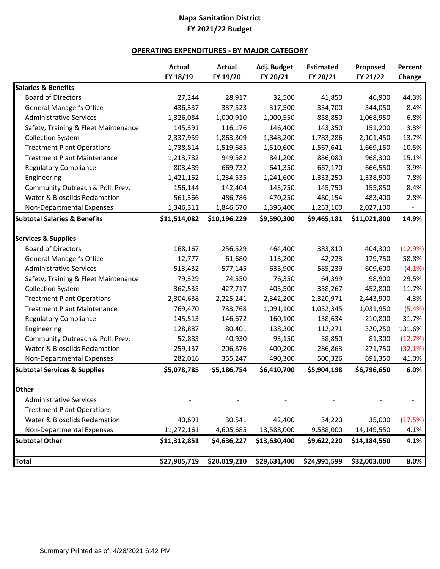# **OPERATING EXPENDITURES - BY MAJOR CATEGORY**

|                                         | <b>Actual</b> | Actual       | Adj. Budget  | <b>Estimated</b> | Proposed     | Percent        |
|-----------------------------------------|---------------|--------------|--------------|------------------|--------------|----------------|
|                                         | FY 18/19      | FY 19/20     | FY 20/21     | FY 20/21         | FY 21/22     | Change         |
| <b>Salaries &amp; Benefits</b>          |               |              |              |                  |              |                |
| <b>Board of Directors</b>               | 27,244        | 28,917       | 32,500       | 41,850           | 46,900       | 44.3%          |
| <b>General Manager's Office</b>         | 436,337       | 337,523      | 317,500      | 334,700          | 344,050      | 8.4%           |
| <b>Administrative Services</b>          | 1,326,084     | 1,000,910    | 1,000,550    | 858,850          | 1,068,950    | 6.8%           |
| Safety, Training & Fleet Maintenance    | 145,391       | 116,176      | 146,400      | 143,350          | 151,200      | 3.3%           |
| <b>Collection System</b>                | 2,337,959     | 1,863,309    | 1,848,200    | 1,783,286        | 2,101,450    | 13.7%          |
| <b>Treatment Plant Operations</b>       | 1,738,814     | 1,519,685    | 1,510,600    | 1,567,641        | 1,669,150    | 10.5%          |
| <b>Treatment Plant Maintenance</b>      | 1,213,782     | 949,582      | 841,200      | 856,080          | 968,300      | 15.1%          |
| <b>Regulatory Compliance</b>            | 803,489       | 669,732      | 641,350      | 667,170          | 666,550      | 3.9%           |
| Engineering                             | 1,421,162     | 1,234,535    | 1,241,600    | 1,333,250        | 1,338,900    | 7.8%           |
| Community Outreach & Poll. Prev.        | 156,144       | 142,404      | 143,750      | 145,750          | 155,850      | 8.4%           |
| Water & Biosolids Reclamation           | 561,366       | 486,786      | 470,250      | 480,154          | 483,400      | 2.8%           |
| Non-Departmental Expenses               | 1,346,311     | 1,846,670    | 1,396,400    | 1,253,100        | 2,027,100    | $\blacksquare$ |
| <b>Subtotal Salaries &amp; Benefits</b> | \$11,514,082  | \$10,196,229 | \$9,590,300  | \$9,465,181      | \$11,021,800 | 14.9%          |
|                                         |               |              |              |                  |              |                |
| <b>Services &amp; Supplies</b>          |               |              |              |                  |              |                |
| <b>Board of Directors</b>               | 168,167       | 256,529      | 464,400      | 383,810          | 404,300      | (12.9%)        |
| <b>General Manager's Office</b>         | 12,777        | 61,680       | 113,200      | 42,223           | 179,750      | 58.8%          |
| <b>Administrative Services</b>          | 513,432       | 577,145      | 635,900      | 585,239          | 609,600      | (4.1%)         |
| Safety, Training & Fleet Maintenance    | 79,329        | 74,550       | 76,350       | 64,399           | 98,900       | 29.5%          |
| <b>Collection System</b>                | 362,535       | 427,717      | 405,500      | 358,267          | 452,800      | 11.7%          |
| <b>Treatment Plant Operations</b>       | 2,304,638     | 2,225,241    | 2,342,200    | 2,320,971        | 2,443,900    | 4.3%           |
| <b>Treatment Plant Maintenance</b>      | 769,470       | 733,768      | 1,091,100    | 1,052,345        | 1,031,950    | (5.4%)         |
| <b>Regulatory Compliance</b>            | 145,513       | 146,672      | 160,100      | 138,634          | 210,800      | 31.7%          |
| Engineering                             | 128,887       | 80,401       | 138,300      | 112,271          | 320,250      | 131.6%         |
| Community Outreach & Poll. Prev.        | 52,883        | 40,930       | 93,150       | 58,850           | 81,300       | (12.7%)        |
| Water & Biosolids Reclamation           | 259,137       | 206,876      | 400,200      | 286,863          | 271,750      | (32.1%)        |
| Non-Departmental Expenses               | 282,016       | 355,247      | 490,300      | 500,326          | 691,350      | 41.0%          |
| <b>Subtotal Services &amp; Supplies</b> | \$5,078,785   | \$5,186,754  | \$6,410,700  | \$5,904,198      | \$6,796,650  | 6.0%           |
| <b>Other</b>                            |               |              |              |                  |              |                |
| <b>Administrative Services</b>          |               |              |              |                  |              |                |
| <b>Treatment Plant Operations</b>       |               |              |              |                  |              |                |
| Water & Biosolids Reclamation           | 40,691        | 30,541       | 42,400       | 34,220           | 35,000       | (17.5%)        |
| Non-Departmental Expenses               | 11,272,161    | 4,605,685    | 13,588,000   | 9,588,000        | 14,149,550   | 4.1%           |
| <b>Subtotal Other</b>                   |               |              |              |                  |              |                |
|                                         | \$11,312,851  | \$4,636,227  | \$13,630,400 | \$9,622,220      | \$14,184,550 | 4.1%           |
| <b>Total</b>                            | \$27,905,719  | \$20,019,210 | \$29,631,400 | \$24,991,599     | \$32,003,000 | 8.0%           |